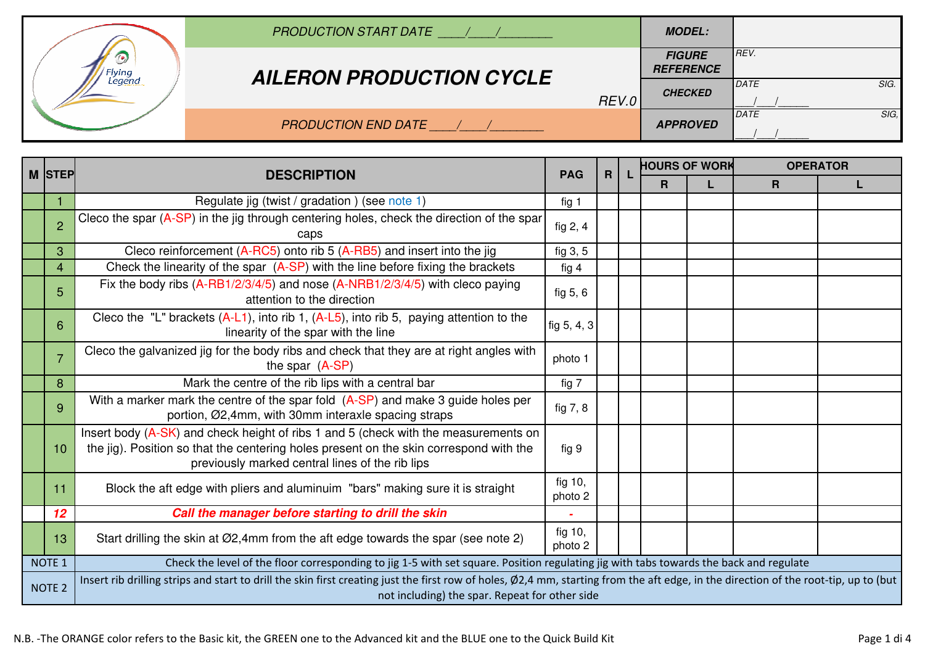|        | <b>PRODUCTION START DATE</b>    |       | <b>MODEL:</b>                     |              |
|--------|---------------------------------|-------|-----------------------------------|--------------|
| lvina  | <b>AILERON PRODUCTION CYCLE</b> |       | <b>FIGURE</b><br><b>REFERENCE</b> | REV.         |
| Legend |                                 | REV.0 | <b>CHECKED</b>                    | SIG.<br>DATE |
|        | <b>PRODUCTION END DATE</b>      |       | <b>APPROVED</b>                   | SIG.<br>DATE |

|                                                                                                                                                                                                                                                         | M STEP            | <b>DESCRIPTION</b>                                                                                                                                                                                                               | <b>PAG</b>         | R |  | <b>HOURS OF WORK</b> |  | <b>OPERATOR</b> |   |
|---------------------------------------------------------------------------------------------------------------------------------------------------------------------------------------------------------------------------------------------------------|-------------------|----------------------------------------------------------------------------------------------------------------------------------------------------------------------------------------------------------------------------------|--------------------|---|--|----------------------|--|-----------------|---|
|                                                                                                                                                                                                                                                         |                   |                                                                                                                                                                                                                                  |                    |   |  | R                    |  | R               | L |
|                                                                                                                                                                                                                                                         |                   | Regulate jig (twist / gradation) (see note 1)                                                                                                                                                                                    | fig 1              |   |  |                      |  |                 |   |
|                                                                                                                                                                                                                                                         | $\overline{2}$    | Cleco the spar (A-SP) in the jig through centering holes, check the direction of the spar<br>caps                                                                                                                                | fig $2, 4$         |   |  |                      |  |                 |   |
|                                                                                                                                                                                                                                                         | 3                 | Cleco reinforcement (A-RC5) onto rib 5 (A-RB5) and insert into the jig                                                                                                                                                           | fig 3, 5           |   |  |                      |  |                 |   |
|                                                                                                                                                                                                                                                         | 4                 | Check the linearity of the spar $(A-SP)$ with the line before fixing the brackets                                                                                                                                                | fig $4$            |   |  |                      |  |                 |   |
|                                                                                                                                                                                                                                                         | 5                 | Fix the body ribs (A-RB1/2/3/4/5) and nose (A-NRB1/2/3/4/5) with cleco paying<br>attention to the direction                                                                                                                      | fig $5, 6$         |   |  |                      |  |                 |   |
|                                                                                                                                                                                                                                                         | 6                 | Cleco the "L" brackets $(A-L1)$ , into rib 1, $(A-L5)$ , into rib 5, paying attention to the<br>linearity of the spar with the line                                                                                              | fig 5, 4, 3        |   |  |                      |  |                 |   |
|                                                                                                                                                                                                                                                         | $\overline{7}$    | Cleco the galvanized jig for the body ribs and check that they are at right angles with<br>the spar $(A-SP)$                                                                                                                     | photo 1            |   |  |                      |  |                 |   |
|                                                                                                                                                                                                                                                         | 8                 | Mark the centre of the rib lips with a central bar                                                                                                                                                                               | fig 7              |   |  |                      |  |                 |   |
|                                                                                                                                                                                                                                                         | 9                 | With a marker mark the centre of the spar fold $(A-SP)$ and make 3 guide holes per<br>portion, Ø2,4mm, with 30mm interaxle spacing straps                                                                                        | fig 7, 8           |   |  |                      |  |                 |   |
|                                                                                                                                                                                                                                                         | 10                | Insert body (A-SK) and check height of ribs 1 and 5 (check with the measurements on<br>the jig). Position so that the centering holes present on the skin correspond with the<br>previously marked central lines of the rib lips | fig 9              |   |  |                      |  |                 |   |
|                                                                                                                                                                                                                                                         | 11                | Block the aft edge with pliers and aluminuim "bars" making sure it is straight                                                                                                                                                   | fig 10,<br>photo 2 |   |  |                      |  |                 |   |
|                                                                                                                                                                                                                                                         | 12                | Call the manager before starting to drill the skin                                                                                                                                                                               |                    |   |  |                      |  |                 |   |
|                                                                                                                                                                                                                                                         | 13                | Start drilling the skin at Ø2,4mm from the aft edge towards the spar (see note 2)                                                                                                                                                | fig 10,<br>photo 2 |   |  |                      |  |                 |   |
|                                                                                                                                                                                                                                                         | NOTE <sub>1</sub> | Check the level of the floor corresponding to jig 1-5 with set square. Position regulating jig with tabs towards the back and regulate                                                                                           |                    |   |  |                      |  |                 |   |
| Insert rib drilling strips and start to drill the skin first creating just the first row of holes, Ø2,4 mm, starting from the aft edge, in the direction of the root-tip, up to (but<br><b>NOTE 2</b><br>not including) the spar. Repeat for other side |                   |                                                                                                                                                                                                                                  |                    |   |  |                      |  |                 |   |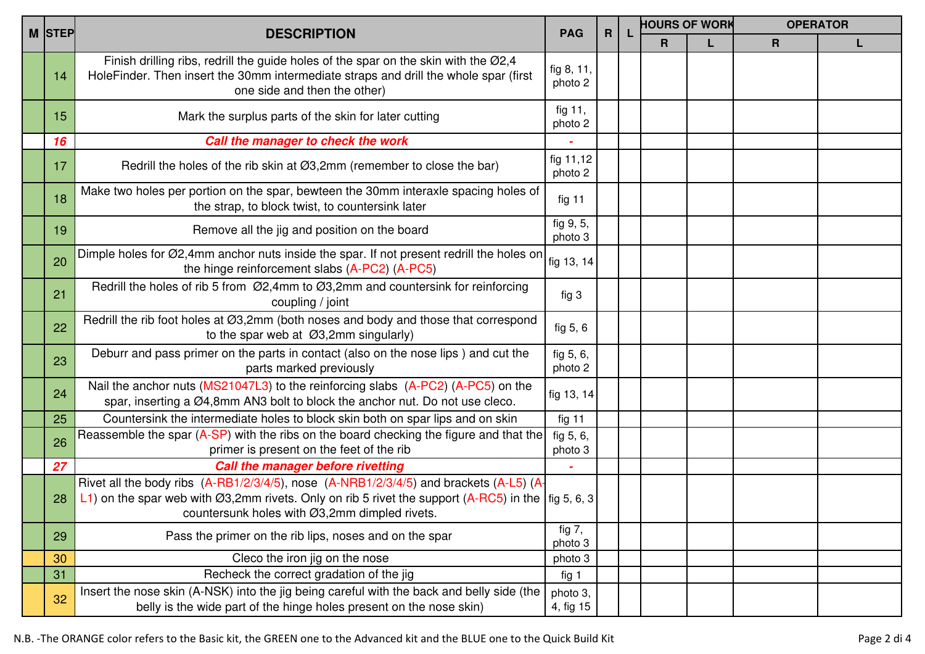|        |                                                                                                                                                                                                                                                                             |                       |              | <b>HOURS OF WORK</b> |   |             | <b>OPERATOR</b> |  |
|--------|-----------------------------------------------------------------------------------------------------------------------------------------------------------------------------------------------------------------------------------------------------------------------------|-----------------------|--------------|----------------------|---|-------------|-----------------|--|
| M STEP | <b>DESCRIPTION</b>                                                                                                                                                                                                                                                          | <b>PAG</b>            | $\mathsf{R}$ | R                    | L | $\mathbf R$ |                 |  |
| 14     | Finish drilling ribs, redrill the guide holes of the spar on the skin with the Ø2,4<br>HoleFinder. Then insert the 30mm intermediate straps and drill the whole spar (first<br>one side and then the other)                                                                 | fig 8, 11,<br>photo 2 |              |                      |   |             |                 |  |
| 15     | Mark the surplus parts of the skin for later cutting                                                                                                                                                                                                                        | fig 11,<br>photo 2    |              |                      |   |             |                 |  |
| 16     | Call the manager to check the work                                                                                                                                                                                                                                          |                       |              |                      |   |             |                 |  |
| 17     | Redrill the holes of the rib skin at $\varnothing$ 3,2mm (remember to close the bar)                                                                                                                                                                                        | fig 11,12<br>photo 2  |              |                      |   |             |                 |  |
| 18     | Make two holes per portion on the spar, bewteen the 30mm interaxle spacing holes of<br>the strap, to block twist, to countersink later                                                                                                                                      | fig 11                |              |                      |   |             |                 |  |
| 19     | Remove all the jig and position on the board                                                                                                                                                                                                                                | fig 9, 5,<br>photo 3  |              |                      |   |             |                 |  |
| 20     | Dimple holes for Ø2,4mm anchor nuts inside the spar. If not present redrill the holes on<br>the hinge reinforcement slabs (A-PC2) (A-PC5)                                                                                                                                   | fig 13, 14            |              |                      |   |             |                 |  |
| 21     | Redrill the holes of rib 5 from Ø2,4mm to Ø3,2mm and countersink for reinforcing<br>coupling / joint                                                                                                                                                                        | fig 3                 |              |                      |   |             |                 |  |
| 22     | Redrill the rib foot holes at Ø3,2mm (both noses and body and those that correspond<br>to the spar web at $\emptyset$ 3,2mm singularly)                                                                                                                                     | fig 5, 6              |              |                      |   |             |                 |  |
| 23     | Deburr and pass primer on the parts in contact (also on the nose lips) and cut the<br>parts marked previously                                                                                                                                                               | fig 5, 6,<br>photo 2  |              |                      |   |             |                 |  |
| 24     | Nail the anchor nuts (MS21047L3) to the reinforcing slabs (A-PC2) (A-PC5) on the<br>spar, inserting a Ø4,8mm AN3 bolt to block the anchor nut. Do not use cleco.                                                                                                            | fig 13, 14            |              |                      |   |             |                 |  |
| 25     | Countersink the intermediate holes to block skin both on spar lips and on skin                                                                                                                                                                                              | fig 11                |              |                      |   |             |                 |  |
| 26     | Reassemble the spar (A-SP) with the ribs on the board checking the figure and that the<br>primer is present on the feet of the rib                                                                                                                                          | fig 5, 6,<br>photo 3  |              |                      |   |             |                 |  |
| 27     | <b>Call the manager before rivetting</b>                                                                                                                                                                                                                                    |                       |              |                      |   |             |                 |  |
| 28     | Rivet all the body ribs (A-RB1/2/3/4/5), nose (A-NRB1/2/3/4/5) and brackets (A-L5) (A-<br>  L1) on the spar web with $\emptyset$ 3,2mm rivets. Only on rib 5 rivet the support (A-RC5) in the $\lceil \log 5, 6, 3 \rceil$<br>countersunk holes with Ø3,2mm dimpled rivets. |                       |              |                      |   |             |                 |  |
| 29     | Pass the primer on the rib lips, noses and on the spar                                                                                                                                                                                                                      | fig $7,$<br>photo 3   |              |                      |   |             |                 |  |
| 30     | Cleco the iron jig on the nose                                                                                                                                                                                                                                              | photo 3               |              |                      |   |             |                 |  |
| 31     | Recheck the correct gradation of the jig                                                                                                                                                                                                                                    | fig 1                 |              |                      |   |             |                 |  |
| 32     | Insert the nose skin (A-NSK) into the jig being careful with the back and belly side (the<br>belly is the wide part of the hinge holes present on the nose skin)                                                                                                            | photo 3,<br>4, fig 15 |              |                      |   |             |                 |  |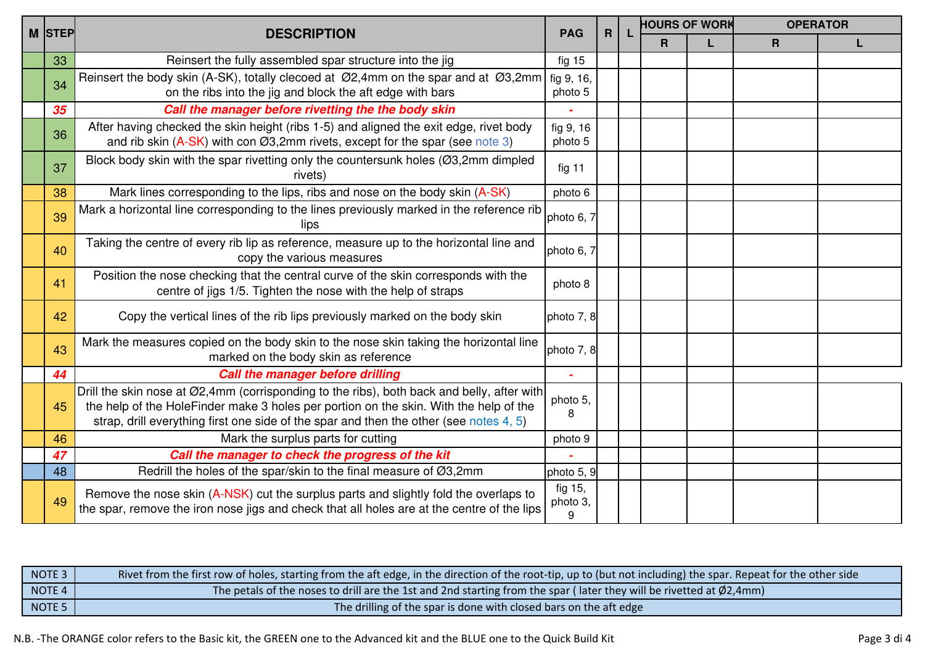| <b>M STEP</b> | <b>DESCRIPTION</b>                                                                                                                                                                                                                                                            | <b>PAG</b>               | $\mathsf{R}$ | <b>HOURS OF WORK</b> |  | <b>OPERATOR</b> |  |
|---------------|-------------------------------------------------------------------------------------------------------------------------------------------------------------------------------------------------------------------------------------------------------------------------------|--------------------------|--------------|----------------------|--|-----------------|--|
|               |                                                                                                                                                                                                                                                                               |                          |              | R                    |  | $\mathsf{R}$    |  |
| 33            | Reinsert the fully assembled spar structure into the jig                                                                                                                                                                                                                      | fig 15                   |              |                      |  |                 |  |
| 34            | Reinsert the body skin (A-SK), totally clecoed at Ø2,4mm on the spar and at Ø3,2mm<br>on the ribs into the jig and block the aft edge with bars                                                                                                                               | fig 9, 16,<br>photo 5    |              |                      |  |                 |  |
| 35            | Call the manager before rivetting the the body skin                                                                                                                                                                                                                           |                          |              |                      |  |                 |  |
| 36            | After having checked the skin height (ribs 1-5) and aligned the exit edge, rivet body<br>and rib skin $(A-SK)$ with con $O(3,2)$ mm rivets, except for the spar (see note 3)                                                                                                  | fig 9, 16<br>photo 5     |              |                      |  |                 |  |
| 37            | Block body skin with the spar rivetting only the countersunk holes (Ø3,2mm dimpled<br>rivets)                                                                                                                                                                                 | fig 11                   |              |                      |  |                 |  |
| 38            | Mark lines corresponding to the lips, ribs and nose on the body skin (A-SK)                                                                                                                                                                                                   | photo 6                  |              |                      |  |                 |  |
| 39            | Mark a horizontal line corresponding to the lines previously marked in the reference rib<br>lips                                                                                                                                                                              | photo 6, 7               |              |                      |  |                 |  |
| 40            | Taking the centre of every rib lip as reference, measure up to the horizontal line and<br>copy the various measures                                                                                                                                                           | photo 6, 7               |              |                      |  |                 |  |
| 41            | Position the nose checking that the central curve of the skin corresponds with the<br>centre of jigs 1/5. Tighten the nose with the help of straps                                                                                                                            | photo 8                  |              |                      |  |                 |  |
| 42            | Copy the vertical lines of the rib lips previously marked on the body skin                                                                                                                                                                                                    | photo 7, 8               |              |                      |  |                 |  |
| 43            | Mark the measures copied on the body skin to the nose skin taking the horizontal line<br>marked on the body skin as reference                                                                                                                                                 | photo 7, 8               |              |                      |  |                 |  |
| 44            | <b>Call the manager before drilling</b>                                                                                                                                                                                                                                       |                          |              |                      |  |                 |  |
| 45            | Drill the skin nose at Ø2,4mm (corrisponding to the ribs), both back and belly, after with<br>the help of the HoleFinder make 3 holes per portion on the skin. With the help of the<br>strap, drill everything first one side of the spar and then the other (see notes 4, 5) | photo 5,<br>8            |              |                      |  |                 |  |
| 46            | Mark the surplus parts for cutting                                                                                                                                                                                                                                            | photo 9                  |              |                      |  |                 |  |
| 47            | Call the manager to check the progress of the kit                                                                                                                                                                                                                             |                          |              |                      |  |                 |  |
| 48            | Redrill the holes of the spar/skin to the final measure of Ø3,2mm                                                                                                                                                                                                             | photo 5, 9               |              |                      |  |                 |  |
| 49            | Remove the nose skin (A-NSK) cut the surplus parts and slightly fold the overlaps to<br>the spar, remove the iron nose jigs and check that all holes are at the centre of the lips                                                                                            | fig 15,<br>photo 3,<br>9 |              |                      |  |                 |  |

| NOTE 3                                                   | Rivet from the first row of holes, starting from the aft edge, in the direction of the root-tip, up to (but not including) the spar. Repeat for the other side |
|----------------------------------------------------------|----------------------------------------------------------------------------------------------------------------------------------------------------------------|
| NOTE <sub>4</sub>                                        | The petals of the noses to drill are the 1st and 2nd starting from the spar (later they will be rivetted at $\phi$ 2,4mm)                                      |
| the contract of the contract of the<br>NOTE <sub>5</sub> | The drilling of the spar is done with closed bars on the aft edge                                                                                              |